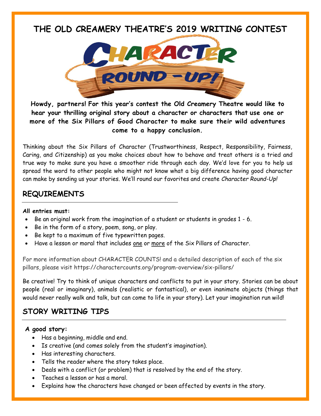# **THE OLD CREAMERY THEATRE'S 2019 WRITING CONTEST**



**Howdy, partners! For this year's contest the Old Creamery Theatre would like to hear your thrilling original story about a character or characters that use one or more of the Six Pillars of Good Character to make sure their wild adventures come to a happy conclusion.**

Thinking about the Six Pillars of Character (Trustworthiness, Respect, Responsibility, Fairness, Caring, and Citizenship) as you make choices about how to behave and treat others is a tried and true way to make sure you have a smoother ride through each day. We'd love for you to help us spread the word to other people who might not know what a big difference having good character can make by sending us your stories. We'll round our favorites and create *Character Round-Up!*

## **REQUIREMENTS**

#### **All entries must:**

- Be an original work from the imagination of a student or students in grades 1 6.
- Be in the form of a story, poem, song, or play.
- Be kept to a maximum of five typewritten pages.
- Have a lesson or moral that includes one or more of the Six Pillars of Character.

For more information about CHARACTER COUNTS! and a detailed description of each of the six pillars, please visit https://charactercounts.org/program-overview/six-pillars/

Be creative! Try to think of unique characters and conflicts to put in your story. Stories can be about people (real or imaginary), animals (realistic or fantastical), or even inanimate objects (things that would never really walk and talk, but can come to life in your story). Let your imagination run wild!

## **STORY WRITING TIPS**

#### **A good story:**

- Has a beginning, middle and end.
- Is creative (and comes solely from the student's imagination).
- Has interesting characters.
- Tells the reader where the story takes place.
- Deals with a conflict (or problem) that is resolved by the end of the story.
- Teaches a lesson or has a moral.
- Explains how the characters have changed or been affected by events in the story.